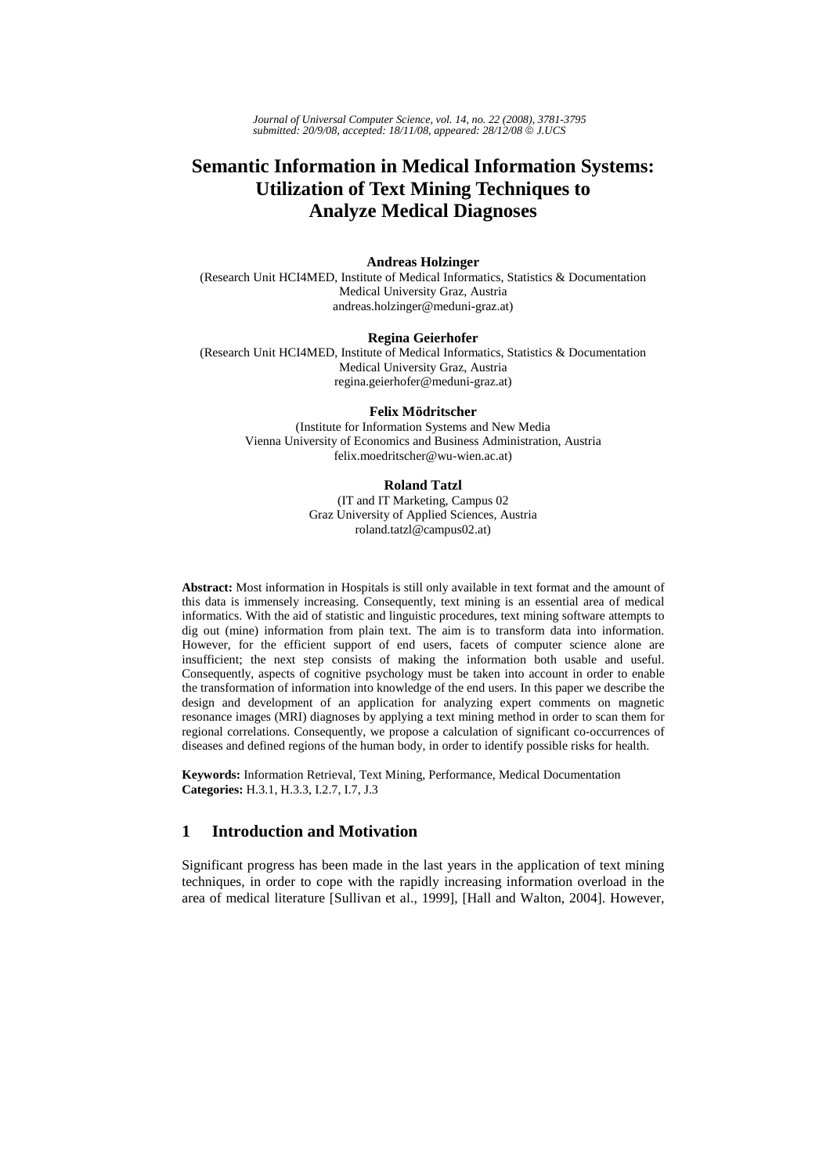*Journal of Universal Computer Science, vol. 14, no. 22 (2008), 3781-3795 submitted: 20/9/08, accepted: 18/11/08, appeared: 28/12/08* © *J.UCS*

# **Semantic Information in Medical Information Systems: Utilization of Text Mining Techniques to Analyze Medical Diagnoses**

#### **Andreas Holzinger**

(Research Unit HCI4MED, Institute of Medical Informatics, Statistics & Documentation Medical University Graz, Austria andreas.holzinger@meduni-graz.at)

#### **Regina Geierhofer**

(Research Unit HCI4MED, Institute of Medical Informatics, Statistics & Documentation Medical University Graz, Austria regina.geierhofer@meduni-graz.at)

#### **Felix Mödritscher**

(Institute for Information Systems and New Media Vienna University of Economics and Business Administration, Austria felix.moedritscher@wu-wien.ac.at)

#### **Roland Tatzl**

(IT and IT Marketing, Campus 02 Graz University of Applied Sciences, Austria roland.tatzl@campus02.at)

**Abstract:** Most information in Hospitals is still only available in text format and the amount of this data is immensely increasing. Consequently, text mining is an essential area of medical informatics. With the aid of statistic and linguistic procedures, text mining software attempts to dig out (mine) information from plain text. The aim is to transform data into information. However, for the efficient support of end users, facets of computer science alone are insufficient; the next step consists of making the information both usable and useful. Consequently, aspects of cognitive psychology must be taken into account in order to enable the transformation of information into knowledge of the end users. In this paper we describe the design and development of an application for analyzing expert comments on magnetic resonance images (MRI) diagnoses by applying a text mining method in order to scan them for regional correlations. Consequently, we propose a calculation of significant co-occurrences of diseases and defined regions of the human body, in order to identify possible risks for health.

**Keywords:** Information Retrieval, Text Mining, Performance, Medical Documentation **Categories:** H.3.1, H.3.3, I.2.7, I.7, J.3

## **1 Introduction and Motivation**

Significant progress has been made in the last years in the application of text mining techniques, in order to cope with the rapidly increasing information overload in the area of medical literature [Sullivan et al., 1999], [Hall and Walton, 2004]. However,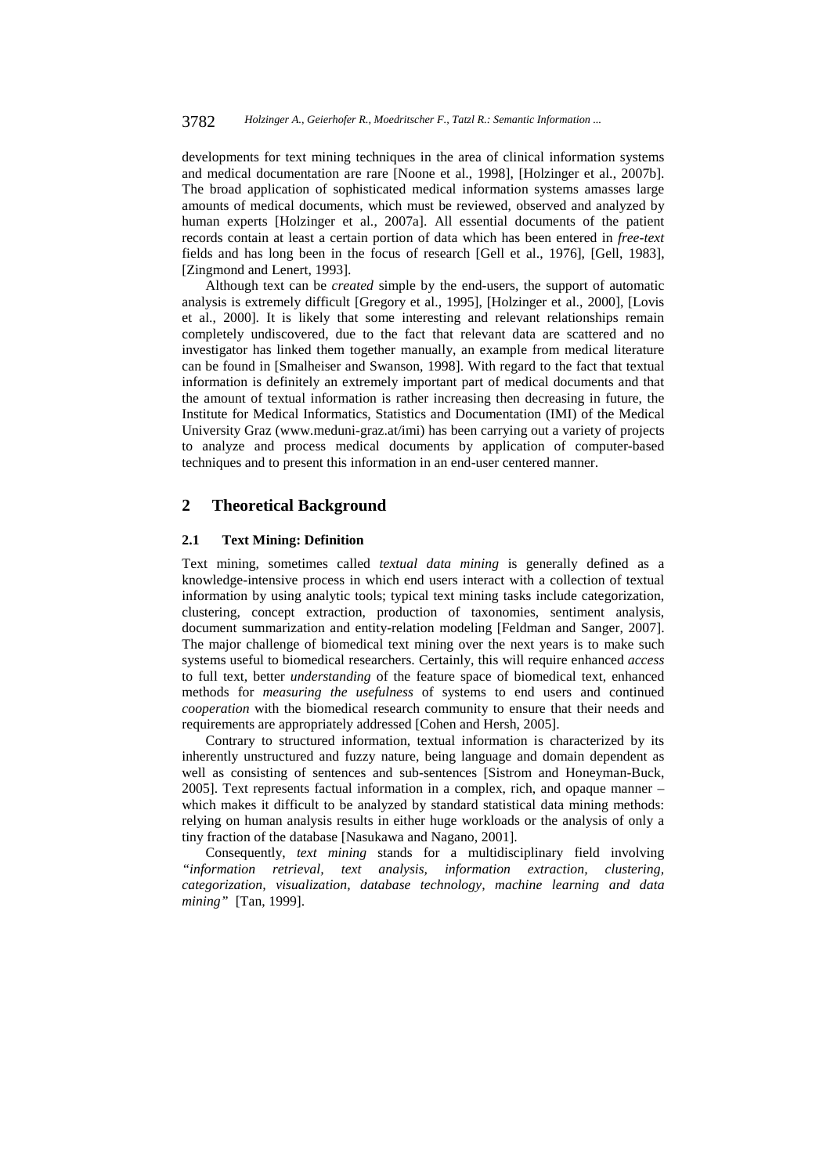developments for text mining techniques in the area of clinical information systems and medical documentation are rare [Noone et al., 1998], [Holzinger et al., 2007b]. The broad application of sophisticated medical information systems amasses large amounts of medical documents, which must be reviewed, observed and analyzed by human experts [Holzinger et al., 2007a]. All essential documents of the patient records contain at least a certain portion of data which has been entered in *free-text* fields and has long been in the focus of research [Gell et al., 1976], [Gell, 1983], [Zingmond and Lenert, 1993].

Although text can be *created* simple by the end-users, the support of automatic analysis is extremely difficult [Gregory et al., 1995], [Holzinger et al., 2000], [Lovis et al., 2000]. It is likely that some interesting and relevant relationships remain completely undiscovered, due to the fact that relevant data are scattered and no investigator has linked them together manually, an example from medical literature can be found in [Smalheiser and Swanson, 1998]. With regard to the fact that textual information is definitely an extremely important part of medical documents and that the amount of textual information is rather increasing then decreasing in future, the Institute for Medical Informatics, Statistics and Documentation (IMI) of the Medical University Graz (www.meduni-graz.at/imi) has been carrying out a variety of projects to analyze and process medical documents by application of computer-based techniques and to present this information in an end-user centered manner.

## **2 Theoretical Background**

#### **2.1 Text Mining: Definition**

Text mining, sometimes called *textual data mining* is generally defined as a knowledge-intensive process in which end users interact with a collection of textual information by using analytic tools; typical text mining tasks include categorization, clustering, concept extraction, production of taxonomies, sentiment analysis, document summarization and entity-relation modeling [Feldman and Sanger, 2007]. The major challenge of biomedical text mining over the next years is to make such systems useful to biomedical researchers. Certainly, this will require enhanced *access*  to full text, better *understanding* of the feature space of biomedical text, enhanced methods for *measuring the usefulness* of systems to end users and continued *cooperation* with the biomedical research community to ensure that their needs and requirements are appropriately addressed [Cohen and Hersh, 2005].

Contrary to structured information, textual information is characterized by its inherently unstructured and fuzzy nature, being language and domain dependent as well as consisting of sentences and sub-sentences [Sistrom and Honeyman-Buck, 2005]. Text represents factual information in a complex, rich, and opaque manner – which makes it difficult to be analyzed by standard statistical data mining methods: relying on human analysis results in either huge workloads or the analysis of only a tiny fraction of the database [Nasukawa and Nagano, 2001].

Consequently, *text mining* stands for a multidisciplinary field involving *"information retrieval, text analysis, information extraction, clustering, categorization, visualization, database technology, machine learning and data mining"* [Tan, 1999].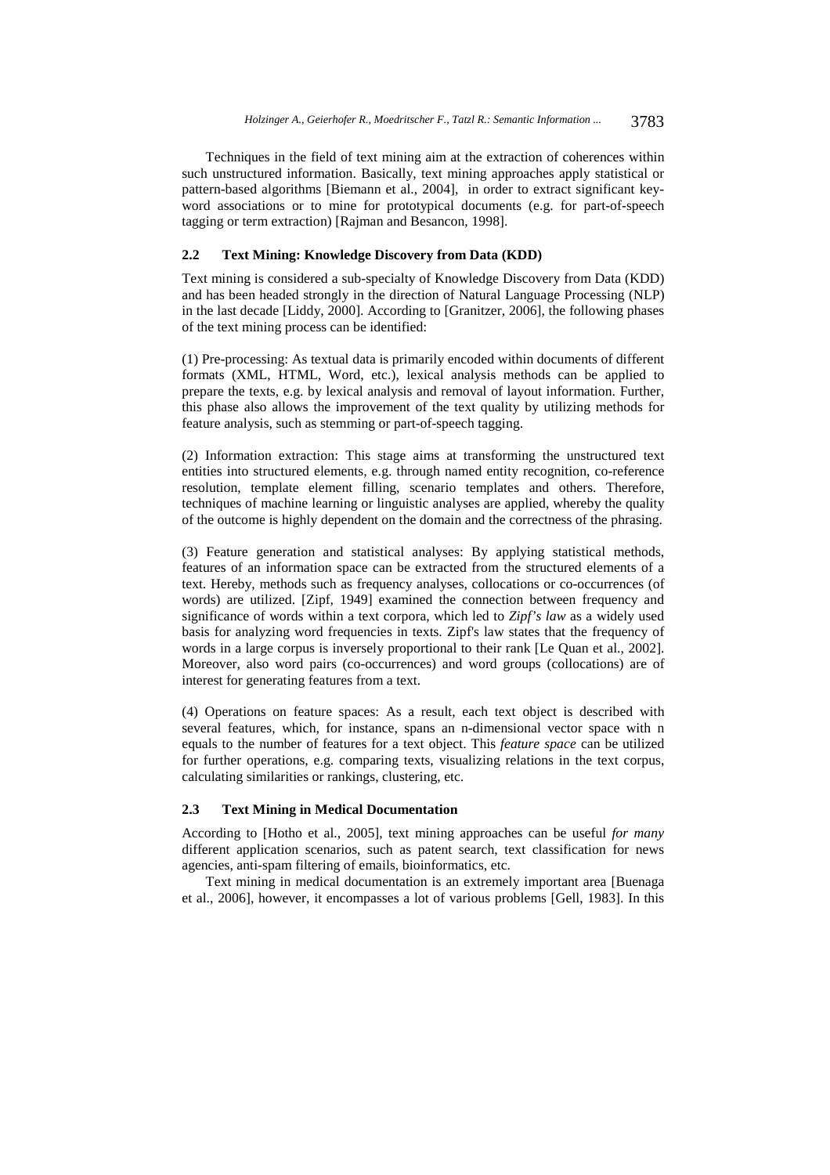Techniques in the field of text mining aim at the extraction of coherences within such unstructured information. Basically, text mining approaches apply statistical or pattern-based algorithms [Biemann et al., 2004], in order to extract significant keyword associations or to mine for prototypical documents (e.g. for part-of-speech tagging or term extraction) [Rajman and Besancon, 1998].

## **2.2 Text Mining: Knowledge Discovery from Data (KDD)**

Text mining is considered a sub-specialty of Knowledge Discovery from Data (KDD) and has been headed strongly in the direction of Natural Language Processing (NLP) in the last decade [Liddy, 2000]. According to [Granitzer, 2006], the following phases of the text mining process can be identified:

(1) Pre-processing: As textual data is primarily encoded within documents of different formats (XML, HTML, Word, etc.), lexical analysis methods can be applied to prepare the texts, e.g. by lexical analysis and removal of layout information. Further, this phase also allows the improvement of the text quality by utilizing methods for feature analysis, such as stemming or part-of-speech tagging.

(2) Information extraction: This stage aims at transforming the unstructured text entities into structured elements, e.g. through named entity recognition, co-reference resolution, template element filling, scenario templates and others. Therefore, techniques of machine learning or linguistic analyses are applied, whereby the quality of the outcome is highly dependent on the domain and the correctness of the phrasing.

(3) Feature generation and statistical analyses: By applying statistical methods, features of an information space can be extracted from the structured elements of a text. Hereby, methods such as frequency analyses, collocations or co-occurrences (of words) are utilized. [Zipf, 1949] examined the connection between frequency and significance of words within a text corpora, which led to *Zipf's law* as a widely used basis for analyzing word frequencies in texts. Zipf's law states that the frequency of words in a large corpus is inversely proportional to their rank [Le Quan et al., 2002]. Moreover, also word pairs (co-occurrences) and word groups (collocations) are of interest for generating features from a text.

(4) Operations on feature spaces: As a result, each text object is described with several features, which, for instance, spans an n-dimensional vector space with n equals to the number of features for a text object. This *feature space* can be utilized for further operations, e.g. comparing texts, visualizing relations in the text corpus, calculating similarities or rankings, clustering, etc.

#### **2.3 Text Mining in Medical Documentation**

According to [Hotho et al., 2005], text mining approaches can be useful *for many* different application scenarios, such as patent search, text classification for news agencies, anti-spam filtering of emails, bioinformatics, etc.

Text mining in medical documentation is an extremely important area [Buenaga et al., 2006], however, it encompasses a lot of various problems [Gell, 1983]. In this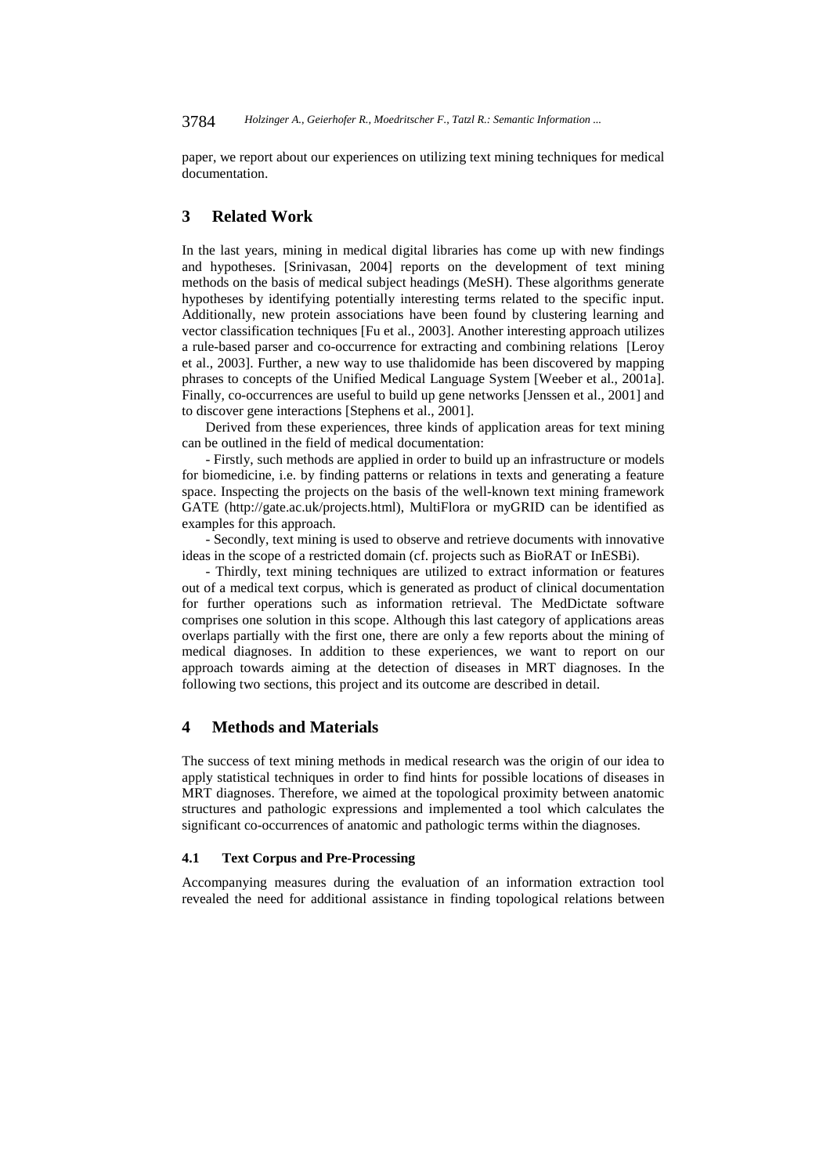paper, we report about our experiences on utilizing text mining techniques for medical documentation.

## **3 Related Work**

In the last years, mining in medical digital libraries has come up with new findings and hypotheses. [Srinivasan, 2004] reports on the development of text mining methods on the basis of medical subject headings (MeSH). These algorithms generate hypotheses by identifying potentially interesting terms related to the specific input. Additionally, new protein associations have been found by clustering learning and vector classification techniques [Fu et al., 2003]. Another interesting approach utilizes a rule-based parser and co-occurrence for extracting and combining relations [Leroy et al., 2003]. Further, a new way to use thalidomide has been discovered by mapping phrases to concepts of the Unified Medical Language System [Weeber et al., 2001a]. Finally, co-occurrences are useful to build up gene networks [Jenssen et al., 2001] and to discover gene interactions [Stephens et al., 2001].

Derived from these experiences, three kinds of application areas for text mining can be outlined in the field of medical documentation:

- Firstly, such methods are applied in order to build up an infrastructure or models for biomedicine, i.e. by finding patterns or relations in texts and generating a feature space. Inspecting the projects on the basis of the well-known text mining framework GATE (http://gate.ac.uk/projects.html), MultiFlora or myGRID can be identified as examples for this approach.

- Secondly, text mining is used to observe and retrieve documents with innovative ideas in the scope of a restricted domain (cf. projects such as BioRAT or InESBi).

- Thirdly, text mining techniques are utilized to extract information or features out of a medical text corpus, which is generated as product of clinical documentation for further operations such as information retrieval. The MedDictate software comprises one solution in this scope. Although this last category of applications areas overlaps partially with the first one, there are only a few reports about the mining of medical diagnoses. In addition to these experiences, we want to report on our approach towards aiming at the detection of diseases in MRT diagnoses. In the following two sections, this project and its outcome are described in detail.

## **4 Methods and Materials**

The success of text mining methods in medical research was the origin of our idea to apply statistical techniques in order to find hints for possible locations of diseases in MRT diagnoses. Therefore, we aimed at the topological proximity between anatomic structures and pathologic expressions and implemented a tool which calculates the significant co-occurrences of anatomic and pathologic terms within the diagnoses.

#### **4.1 Text Corpus and Pre-Processing**

Accompanying measures during the evaluation of an information extraction tool revealed the need for additional assistance in finding topological relations between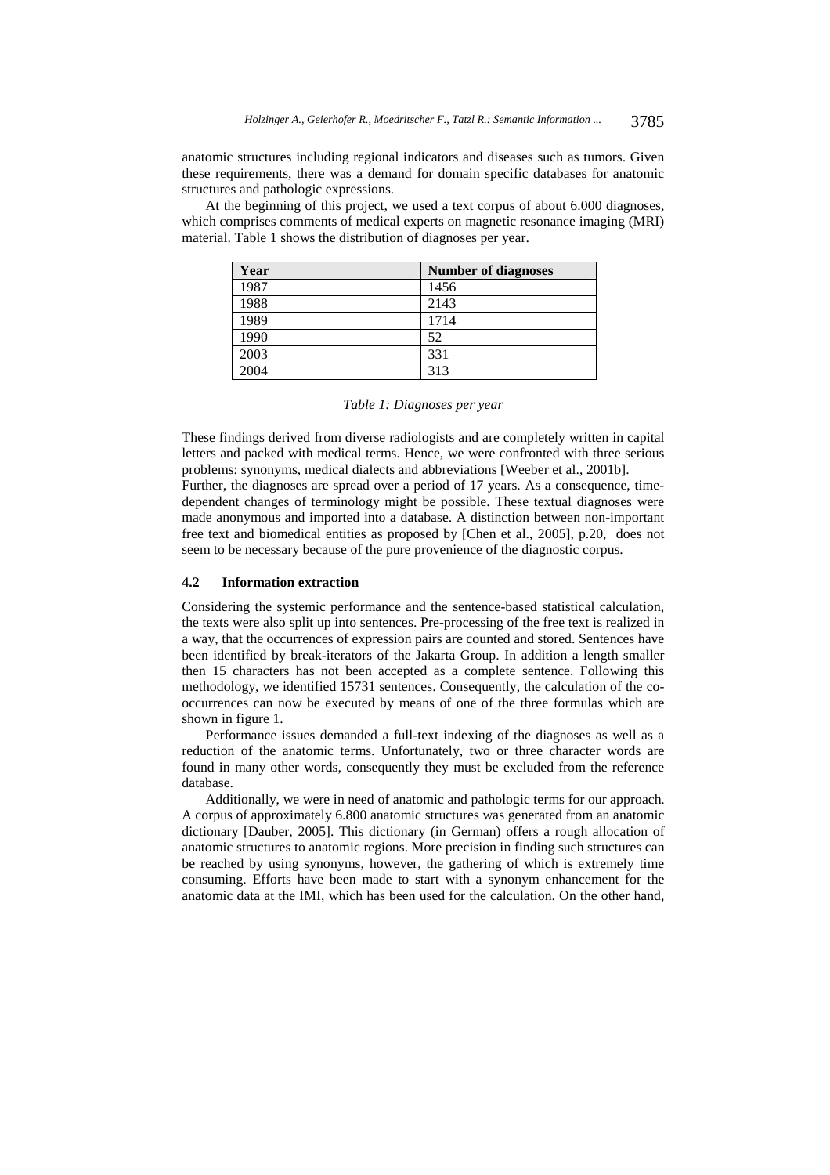anatomic structures including regional indicators and diseases such as tumors. Given these requirements, there was a demand for domain specific databases for anatomic structures and pathologic expressions.

At the beginning of this project, we used a text corpus of about 6.000 diagnoses, which comprises comments of medical experts on magnetic resonance imaging (MRI) material. Table 1 shows the distribution of diagnoses per year.

| Year | <b>Number of diagnoses</b> |
|------|----------------------------|
| 1987 | 1456                       |
| 1988 | 2143                       |
| 1989 | 1714                       |
| 1990 | 52                         |
| 2003 | 331                        |
| 2004 | 313                        |

These findings derived from diverse radiologists and are completely written in capital letters and packed with medical terms. Hence, we were confronted with three serious problems: synonyms, medical dialects and abbreviations [Weeber et al., 2001b].

Further, the diagnoses are spread over a period of 17 years. As a consequence, timedependent changes of terminology might be possible. These textual diagnoses were made anonymous and imported into a database. A distinction between non-important free text and biomedical entities as proposed by [Chen et al., 2005], p.20, does not seem to be necessary because of the pure provenience of the diagnostic corpus.

#### **4.2 Information extraction**

Considering the systemic performance and the sentence-based statistical calculation, the texts were also split up into sentences. Pre-processing of the free text is realized in a way, that the occurrences of expression pairs are counted and stored. Sentences have been identified by break-iterators of the Jakarta Group. In addition a length smaller then 15 characters has not been accepted as a complete sentence. Following this methodology, we identified 15731 sentences. Consequently, the calculation of the cooccurrences can now be executed by means of one of the three formulas which are shown in figure 1.

Performance issues demanded a full-text indexing of the diagnoses as well as a reduction of the anatomic terms. Unfortunately, two or three character words are found in many other words, consequently they must be excluded from the reference database.

Additionally, we were in need of anatomic and pathologic terms for our approach. A corpus of approximately 6.800 anatomic structures was generated from an anatomic dictionary [Dauber, 2005]. This dictionary (in German) offers a rough allocation of anatomic structures to anatomic regions. More precision in finding such structures can be reached by using synonyms, however, the gathering of which is extremely time consuming. Efforts have been made to start with a synonym enhancement for the anatomic data at the IMI, which has been used for the calculation. On the other hand,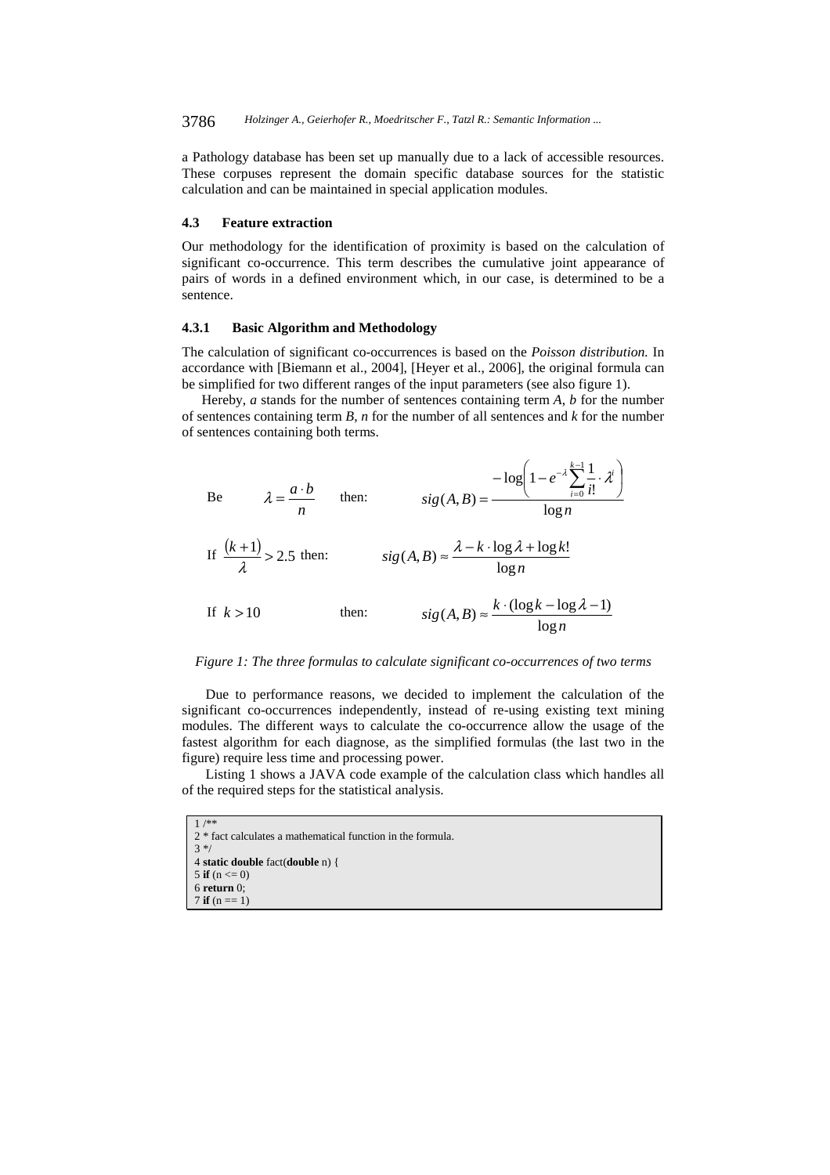a Pathology database has been set up manually due to a lack of accessible resources. These corpuses represent the domain specific database sources for the statistic calculation and can be maintained in special application modules.

#### **4.3 Feature extraction**

Our methodology for the identification of proximity is based on the calculation of significant co-occurrence. This term describes the cumulative joint appearance of pairs of words in a defined environment which, in our case, is determined to be a sentence.

## **4.3.1 Basic Algorithm and Methodology**

The calculation of significant co-occurrences is based on the *Poisson distribution.* In accordance with [Biemann et al., 2004], [Heyer et al., 2006], the original formula can be simplified for two different ranges of the input parameters (see also figure 1).

Hereby, *a* stands for the number of sentences containing term *A*, *b* for the number of sentences containing term *B*, *n* for the number of all sentences and *k* for the number of sentences containing both terms.

Be 
$$
\lambda = \frac{a \cdot b}{n}
$$
 then:  $sig(A, B) = \frac{-\log(1 - e^{-\lambda} \sum_{i=0}^{k-1} \frac{1}{i!} \cdot \lambda^{i})}{\log n}$   
\nIf  $\frac{(k+1)}{\lambda} > 2.5$  then:  $sig(A, B) \approx \frac{\lambda - k \cdot \log \lambda + \log k!}{\log n}$   
\nIf  $k > 10$  then:  $sig(A, B) \approx \frac{k \cdot (\log k - \log \lambda - 1)}{\log n}$ 

#### *Figure 1: The three formulas to calculate significant co-occurrences of two terms*

Due to performance reasons, we decided to implement the calculation of the significant co-occurrences independently, instead of re-using existing text mining modules. The different ways to calculate the co-occurrence allow the usage of the fastest algorithm for each diagnose, as the simplified formulas (the last two in the figure) require less time and processing power.

Listing 1 shows a JAVA code example of the calculation class which handles all of the required steps for the statistical analysis.

1 /\*\* 2 \* fact calculates a mathematical function in the formula. 3 \*/ 4 **static double** fact(**double** n) { 5 **if**  $(n \le 0)$ 6 **return** 0;  $7$  **if**  $(n == 1)$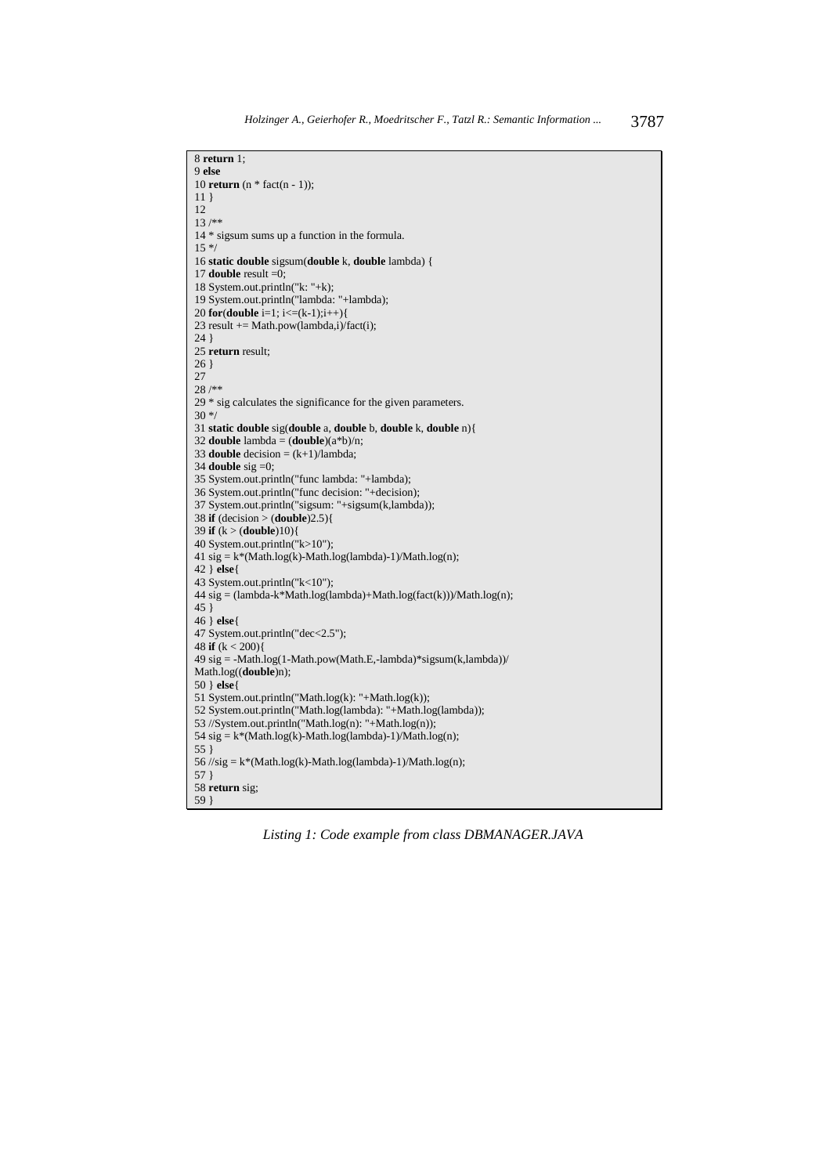```
8 return 1; 
9 else 
10 return (n * fact(n - 1)); 
11 } 
12 
13 /** 
14 * sigsum sums up a function in the formula. 
15 */
16 static double sigsum(double k, double lambda) { 
17 double result =0;
18 System.out.println("k: "+k); 
19 System.out.println("lambda: "+lambda); 
20 for(double i=1; i<=(k-1);i++){ 
23 result += Math.pow(lambda,i)/fact(i);
24 } 
25 return result; 
26 } 
27 
28 /**
29 * sig calculates the significance for the given parameters. 
30 */ 
31 static double sig(double a, double b, double k, double n){ 
32 double lambda = (double)(a *b)/n;33 double decision = (k+1)/lambda;34 double sig =0; 
35 System.out.println("func lambda: "+lambda); 
36 System.out.println("func decision: "+decision); 
37 System.out.println("sigsum: "+sigsum(k,lambda)); 
38 if (decision > (double)2.5){ 
39 if (k > (double)10){ 
40 System.out.println("k>10"); 
41 sig = k*(Math.log(k)-Math.log(lambda)-1)/Math.log(n);42 } else{ 
43 System.out.println("k<10"); 
44 \text{ sig} = (\text{lambda-k*Math.log}(\text{lambda}) + \text{Math.log}(\text{fact}(k))) / \text{Math.log}(n);45 } 
46 } else{ 
47 System.out.println("dec<2.5"); 
48 if (k < 200)49 sig = -Math.log(1-Math.pow(Math.E,-lambda)*sigsum(k,lambda))/ 
Math.log((double)n); 
50 } else{ 
51 System.out.println("Math.log(k): "+Math.log(k)); 
52 System.out.println("Math.log(lambda): "+Math.log(lambda)); 
53 //System.out.println("Math.log(n): "+Math.log(n)); 
54 sig = k*(Math.log(k)-Math.log(lambda)-1)/Math.log(n);55 } 
56 //sig = k*(Math.log(k)-Math.log(lambda)-1)/Math.log(n);57 } 
58 return sig; 
59 }
```
*Listing 1: Code example from class DBMANAGER.JAVA*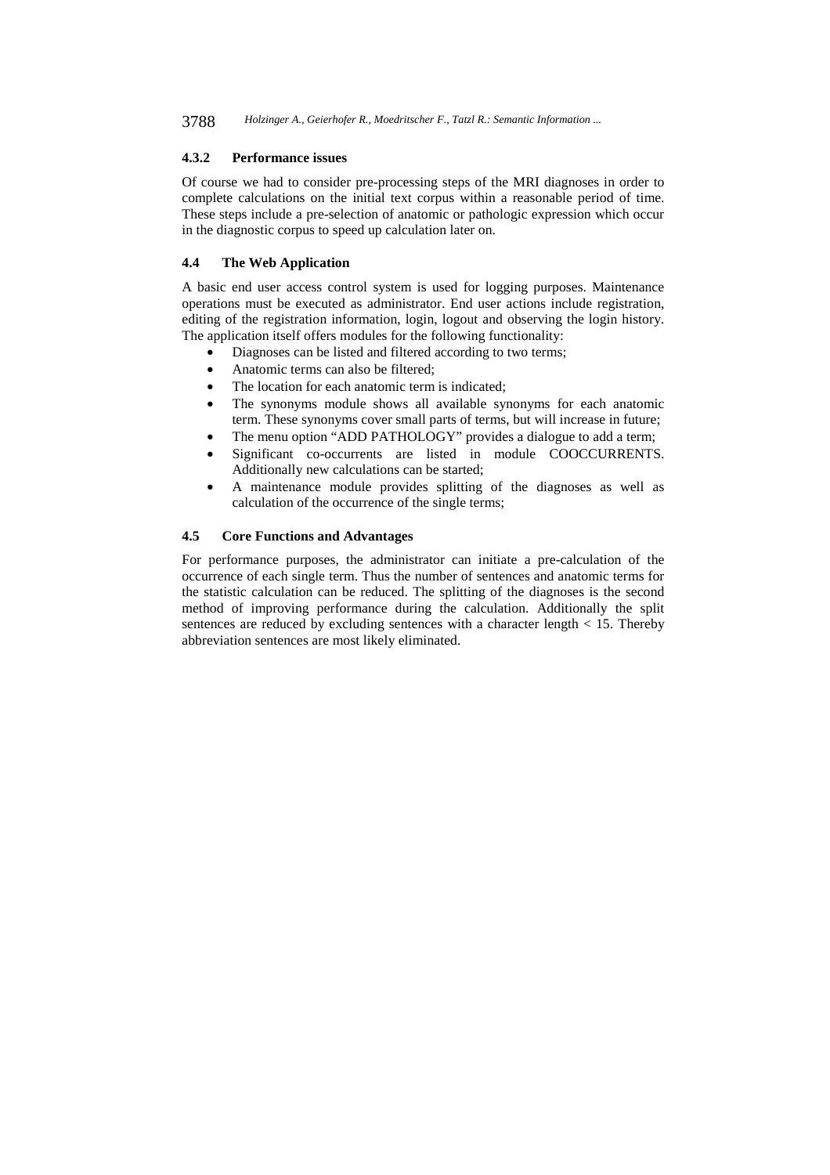3788 *Holzinger A., Geierhofer R., Moedritscher F., Tatzl R.: Semantic Information ...*

#### **4.3.2 Performance issues**

Of course we had to consider pre-processing steps of the MRI diagnoses in order to complete calculations on the initial text corpus within a reasonable period of time. These steps include a pre-selection of anatomic or pathologic expression which occur in the diagnostic corpus to speed up calculation later on.

## **4.4 The Web Application**

A basic end user access control system is used for logging purposes. Maintenance operations must be executed as administrator. End user actions include registration, editing of the registration information, login, logout and observing the login history. The application itself offers modules for the following functionality:

- Diagnoses can be listed and filtered according to two terms;
- Anatomic terms can also be filtered;
- The location for each anatomic term is indicated;
- The synonyms module shows all available synonyms for each anatomic term. These synonyms cover small parts of terms, but will increase in future;
- The menu option "ADD PATHOLOGY" provides a dialogue to add a term;
- Significant co-occurrents are listed in module COOCCURRENTS. Additionally new calculations can be started;
- A maintenance module provides splitting of the diagnoses as well as calculation of the occurrence of the single terms;

#### **4.5 Core Functions and Advantages**

For performance purposes, the administrator can initiate a pre-calculation of the occurrence of each single term. Thus the number of sentences and anatomic terms for the statistic calculation can be reduced. The splitting of the diagnoses is the second method of improving performance during the calculation. Additionally the split sentences are reduced by excluding sentences with a character length  $< 15$ . Thereby abbreviation sentences are most likely eliminated.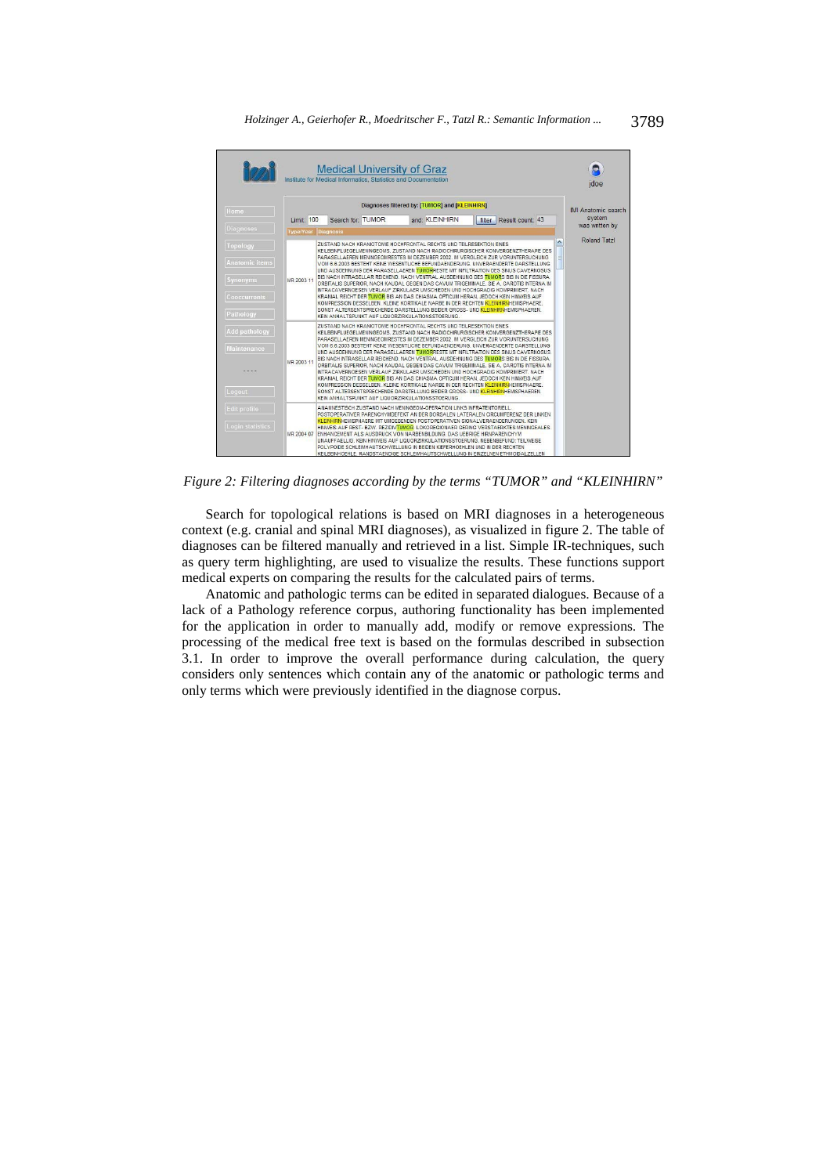

*Figure 2: Filtering diagnoses according by the terms "TUMOR" and "KLEINHIRN"* 

Search for topological relations is based on MRI diagnoses in a heterogeneous context (e.g. cranial and spinal MRI diagnoses), as visualized in figure 2. The table of diagnoses can be filtered manually and retrieved in a list. Simple IR-techniques, such as query term highlighting, are used to visualize the results. These functions support medical experts on comparing the results for the calculated pairs of terms.

Anatomic and pathologic terms can be edited in separated dialogues. Because of a lack of a Pathology reference corpus, authoring functionality has been implemented for the application in order to manually add, modify or remove expressions. The processing of the medical free text is based on the formulas described in subsection 3.1. In order to improve the overall performance during calculation, the query considers only sentences which contain any of the anatomic or pathologic terms and only terms which were previously identified in the diagnose corpus.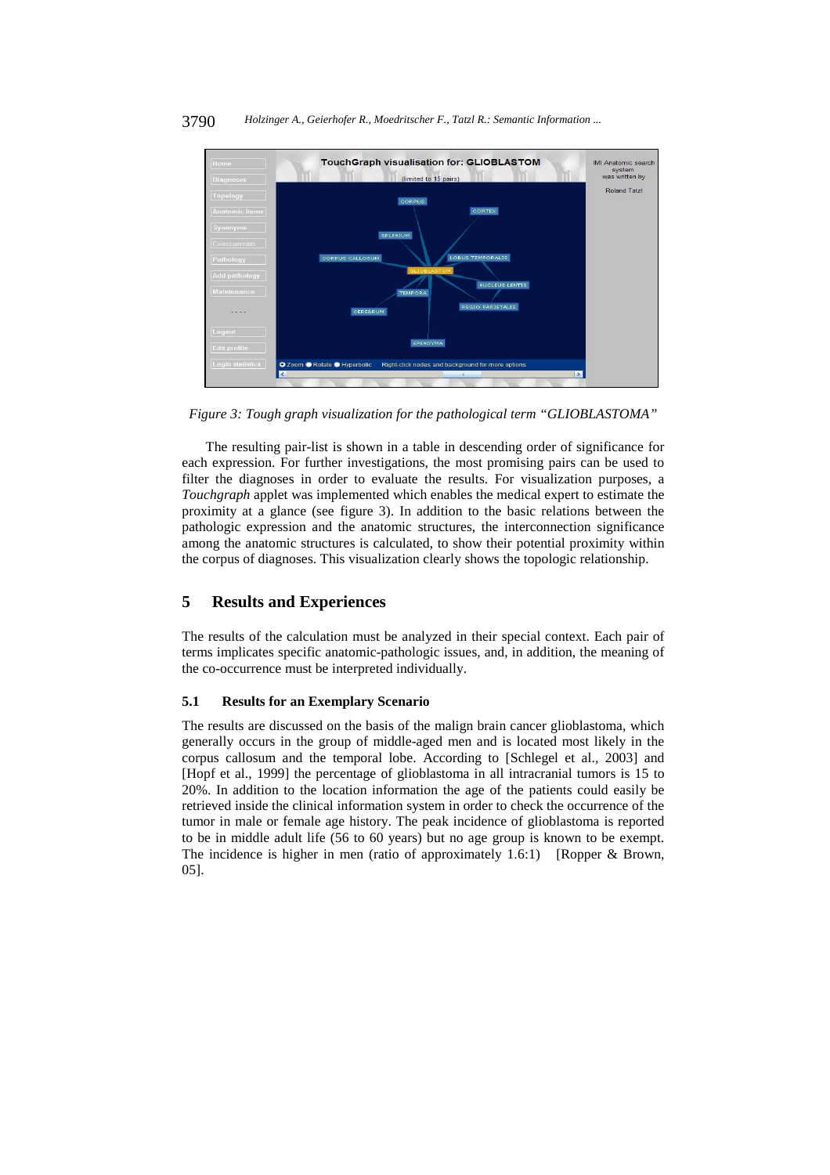

3790 *Holzinger A., Geierhofer R., Moedritscher F., Tatzl R.: Semantic Information ...*

*Figure 3: Tough graph visualization for the pathological term "GLIOBLASTOMA"* 

The resulting pair-list is shown in a table in descending order of significance for each expression. For further investigations, the most promising pairs can be used to filter the diagnoses in order to evaluate the results. For visualization purposes, a *Touchgraph* applet was implemented which enables the medical expert to estimate the proximity at a glance (see figure 3). In addition to the basic relations between the pathologic expression and the anatomic structures, the interconnection significance among the anatomic structures is calculated, to show their potential proximity within the corpus of diagnoses. This visualization clearly shows the topologic relationship.

## **5 Results and Experiences**

The results of the calculation must be analyzed in their special context. Each pair of terms implicates specific anatomic-pathologic issues, and, in addition, the meaning of the co-occurrence must be interpreted individually.

## **5.1 Results for an Exemplary Scenario**

The results are discussed on the basis of the malign brain cancer glioblastoma, which generally occurs in the group of middle-aged men and is located most likely in the corpus callosum and the temporal lobe. According to [Schlegel et al., 2003] and [Hopf et al., 1999] the percentage of glioblastoma in all intracranial tumors is 15 to 20%. In addition to the location information the age of the patients could easily be retrieved inside the clinical information system in order to check the occurrence of the tumor in male or female age history. The peak incidence of glioblastoma is reported to be in middle adult life (56 to 60 years) but no age group is known to be exempt. The incidence is higher in men (ratio of approximately 1.6:1) [Ropper & Brown, 05].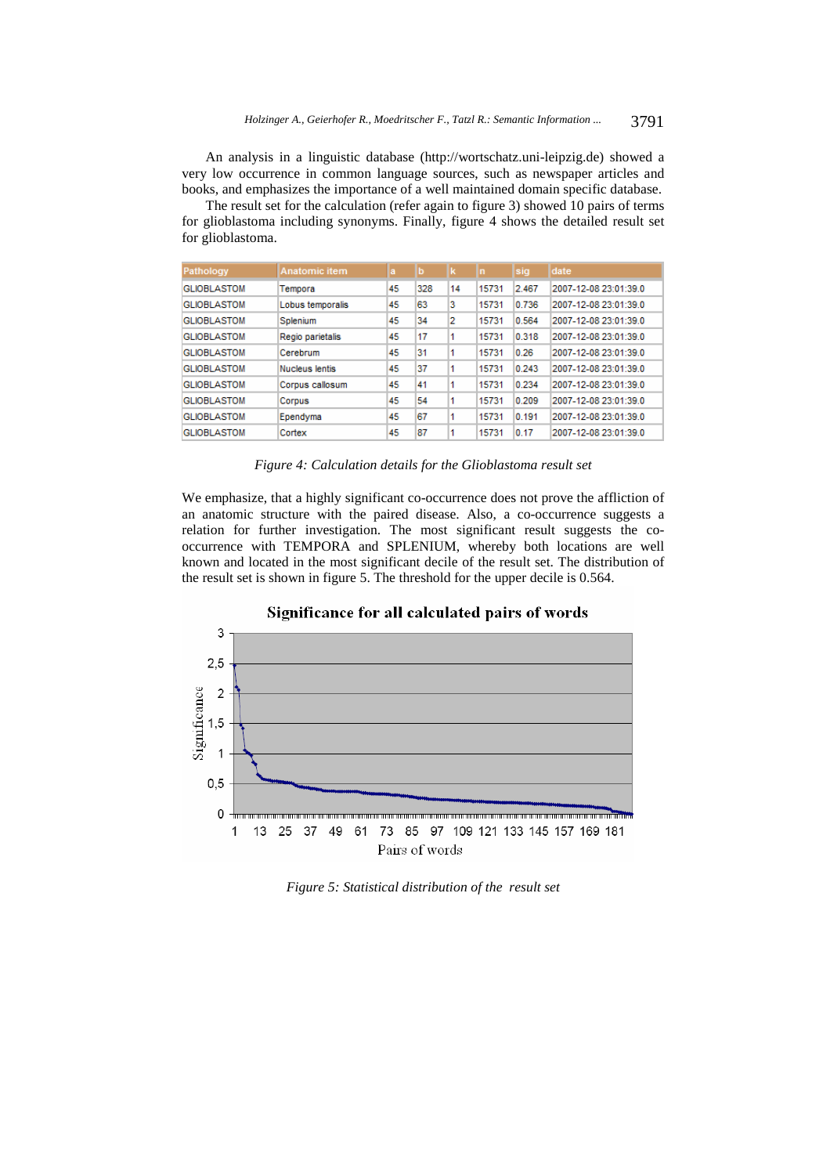An analysis in a linguistic database (http://wortschatz.uni-leipzig.de) showed a very low occurrence in common language sources, such as newspaper articles and books, and emphasizes the importance of a well maintained domain specific database.

The result set for the calculation (refer again to figure 3) showed 10 pairs of terms for glioblastoma including synonyms. Finally, figure 4 shows the detailed result set for glioblastoma.

| Pathology          | Anatomic item    | la | b   |    | In    | sia   | date                  |
|--------------------|------------------|----|-----|----|-------|-------|-----------------------|
| <b>GLIOBLASTOM</b> | Tempora          | 45 | 328 | 14 | 15731 | 2.467 | 2007-12-08 23:01:39.0 |
| <b>GLIOBLASTOM</b> | Lobus temporalis | 45 | 63  | 3  | 15731 | 0.736 | 2007-12-08 23:01:39.0 |
| <b>GLIOBLASTOM</b> | Splenium         | 45 | 34  | 12 | 15731 | 0.564 | 2007-12-08 23:01:39.0 |
| <b>GLIOBLASTOM</b> | Regio parietalis | 45 | 17  |    | 15731 | 0.318 | 2007-12-08 23:01:39.0 |
| <b>GLIOBLASTOM</b> | Cerebrum         | 45 | 31  |    | 15731 | 0.26  | 2007-12-08 23:01:39.0 |
| <b>GLIOBLASTOM</b> | Nucleus lentis   | 45 | 37  | 1  | 15731 | 0.243 | 2007-12-08 23:01:39.0 |
| <b>GLIOBLASTOM</b> | Corpus callosum  | 45 | 41  |    | 15731 | 0.234 | 2007-12-08 23:01:39.0 |
| <b>GLIOBLASTOM</b> | Corpus           | 45 | 54  | 1  | 15731 | 0.209 | 2007-12-08 23:01:39.0 |
| <b>GLIOBLASTOM</b> | Ependyma         | 45 | 67  |    | 15731 | 0.191 | 2007-12-08 23:01:39.0 |
| <b>GLIOBLASTOM</b> | Cortex           | 45 | 87  |    | 15731 | 0.17  | 2007-12-08 23:01:39.0 |

*Figure 4: Calculation details for the Glioblastoma result set* 

We emphasize, that a highly significant co-occurrence does not prove the affliction of an anatomic structure with the paired disease. Also, a co-occurrence suggests a relation for further investigation. The most significant result suggests the cooccurrence with TEMPORA and SPLENIUM, whereby both locations are well known and located in the most significant decile of the result set. The distribution of the result set is shown in figure 5. The threshold for the upper decile is 0.564.



*Figure 5: Statistical distribution of the result set*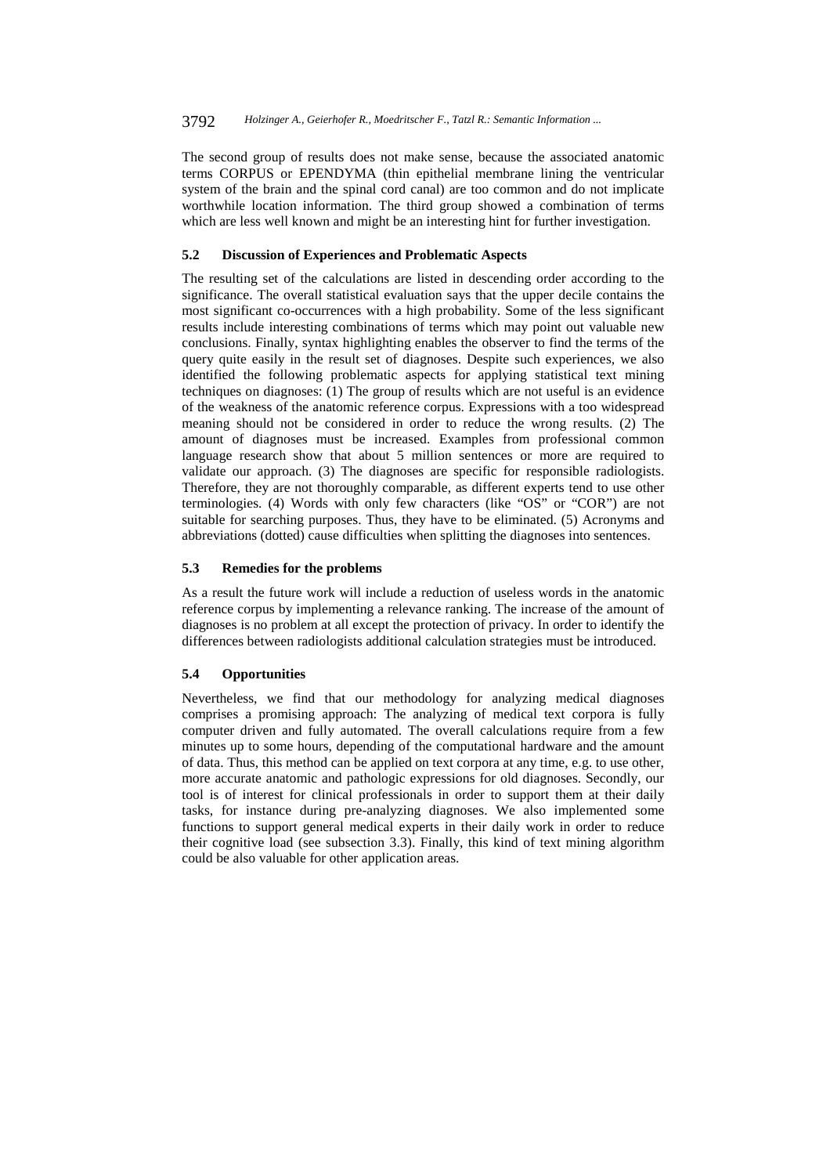The second group of results does not make sense, because the associated anatomic terms CORPUS or EPENDYMA (thin epithelial membrane lining the ventricular system of the brain and the spinal cord canal) are too common and do not implicate worthwhile location information. The third group showed a combination of terms which are less well known and might be an interesting hint for further investigation.

## **5.2 Discussion of Experiences and Problematic Aspects**

The resulting set of the calculations are listed in descending order according to the significance. The overall statistical evaluation says that the upper decile contains the most significant co-occurrences with a high probability. Some of the less significant results include interesting combinations of terms which may point out valuable new conclusions. Finally, syntax highlighting enables the observer to find the terms of the query quite easily in the result set of diagnoses. Despite such experiences, we also identified the following problematic aspects for applying statistical text mining techniques on diagnoses: (1) The group of results which are not useful is an evidence of the weakness of the anatomic reference corpus. Expressions with a too widespread meaning should not be considered in order to reduce the wrong results. (2) The amount of diagnoses must be increased. Examples from professional common language research show that about 5 million sentences or more are required to validate our approach. (3) The diagnoses are specific for responsible radiologists. Therefore, they are not thoroughly comparable, as different experts tend to use other terminologies. (4) Words with only few characters (like "OS" or "COR") are not suitable for searching purposes. Thus, they have to be eliminated. (5) Acronyms and abbreviations (dotted) cause difficulties when splitting the diagnoses into sentences.

#### **5.3 Remedies for the problems**

As a result the future work will include a reduction of useless words in the anatomic reference corpus by implementing a relevance ranking. The increase of the amount of diagnoses is no problem at all except the protection of privacy. In order to identify the differences between radiologists additional calculation strategies must be introduced.

#### **5.4 Opportunities**

Nevertheless, we find that our methodology for analyzing medical diagnoses comprises a promising approach: The analyzing of medical text corpora is fully computer driven and fully automated. The overall calculations require from a few minutes up to some hours, depending of the computational hardware and the amount of data. Thus, this method can be applied on text corpora at any time, e.g. to use other, more accurate anatomic and pathologic expressions for old diagnoses. Secondly, our tool is of interest for clinical professionals in order to support them at their daily tasks, for instance during pre-analyzing diagnoses. We also implemented some functions to support general medical experts in their daily work in order to reduce their cognitive load (see subsection 3.3). Finally, this kind of text mining algorithm could be also valuable for other application areas.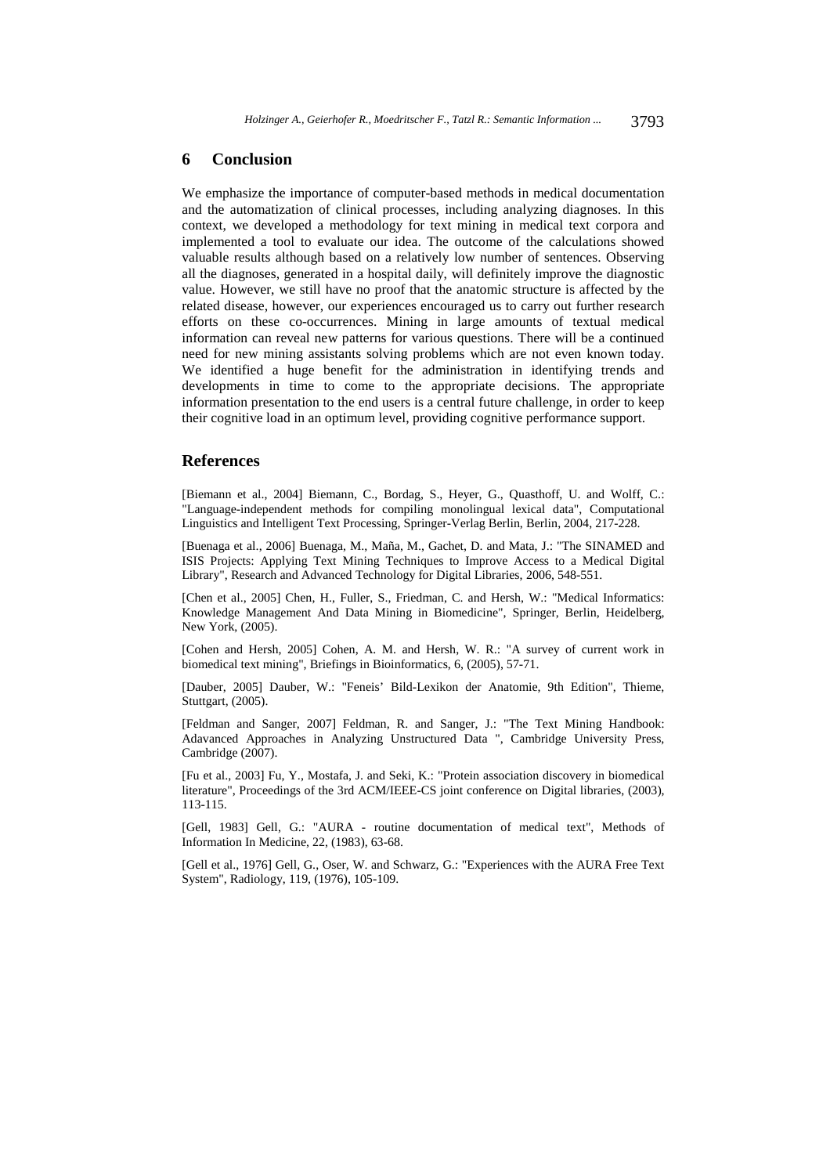#### **6 Conclusion**

We emphasize the importance of computer-based methods in medical documentation and the automatization of clinical processes, including analyzing diagnoses. In this context, we developed a methodology for text mining in medical text corpora and implemented a tool to evaluate our idea. The outcome of the calculations showed valuable results although based on a relatively low number of sentences. Observing all the diagnoses, generated in a hospital daily, will definitely improve the diagnostic value. However, we still have no proof that the anatomic structure is affected by the related disease, however, our experiences encouraged us to carry out further research efforts on these co-occurrences. Mining in large amounts of textual medical information can reveal new patterns for various questions. There will be a continued need for new mining assistants solving problems which are not even known today. We identified a huge benefit for the administration in identifying trends and developments in time to come to the appropriate decisions. The appropriate information presentation to the end users is a central future challenge, in order to keep their cognitive load in an optimum level, providing cognitive performance support.

### **References**

[Biemann et al., 2004] Biemann, C., Bordag, S., Heyer, G., Quasthoff, U. and Wolff, C.: "Language-independent methods for compiling monolingual lexical data", Computational Linguistics and Intelligent Text Processing, Springer-Verlag Berlin, Berlin, 2004, 217-228.

[Buenaga et al., 2006] Buenaga, M., Maña, M., Gachet, D. and Mata, J.: "The SINAMED and ISIS Projects: Applying Text Mining Techniques to Improve Access to a Medical Digital Library", Research and Advanced Technology for Digital Libraries, 2006, 548-551.

[Chen et al., 2005] Chen, H., Fuller, S., Friedman, C. and Hersh, W.: "Medical Informatics: Knowledge Management And Data Mining in Biomedicine", Springer, Berlin, Heidelberg, New York, (2005).

[Cohen and Hersh, 2005] Cohen, A. M. and Hersh, W. R.: "A survey of current work in biomedical text mining", Briefings in Bioinformatics, 6, (2005), 57-71.

[Dauber, 2005] Dauber, W.: "Feneis' Bild-Lexikon der Anatomie, 9th Edition", Thieme, Stuttgart, (2005).

[Feldman and Sanger, 2007] Feldman, R. and Sanger, J.: "The Text Mining Handbook: Adavanced Approaches in Analyzing Unstructured Data ", Cambridge University Press, Cambridge (2007).

[Fu et al., 2003] Fu, Y., Mostafa, J. and Seki, K.: "Protein association discovery in biomedical literature", Proceedings of the 3rd ACM/IEEE-CS joint conference on Digital libraries, (2003), 113-115.

[Gell, 1983] Gell, G.: "AURA - routine documentation of medical text", Methods of Information In Medicine, 22, (1983), 63-68.

[Gell et al., 1976] Gell, G., Oser, W. and Schwarz, G.: "Experiences with the AURA Free Text System", Radiology, 119, (1976), 105-109.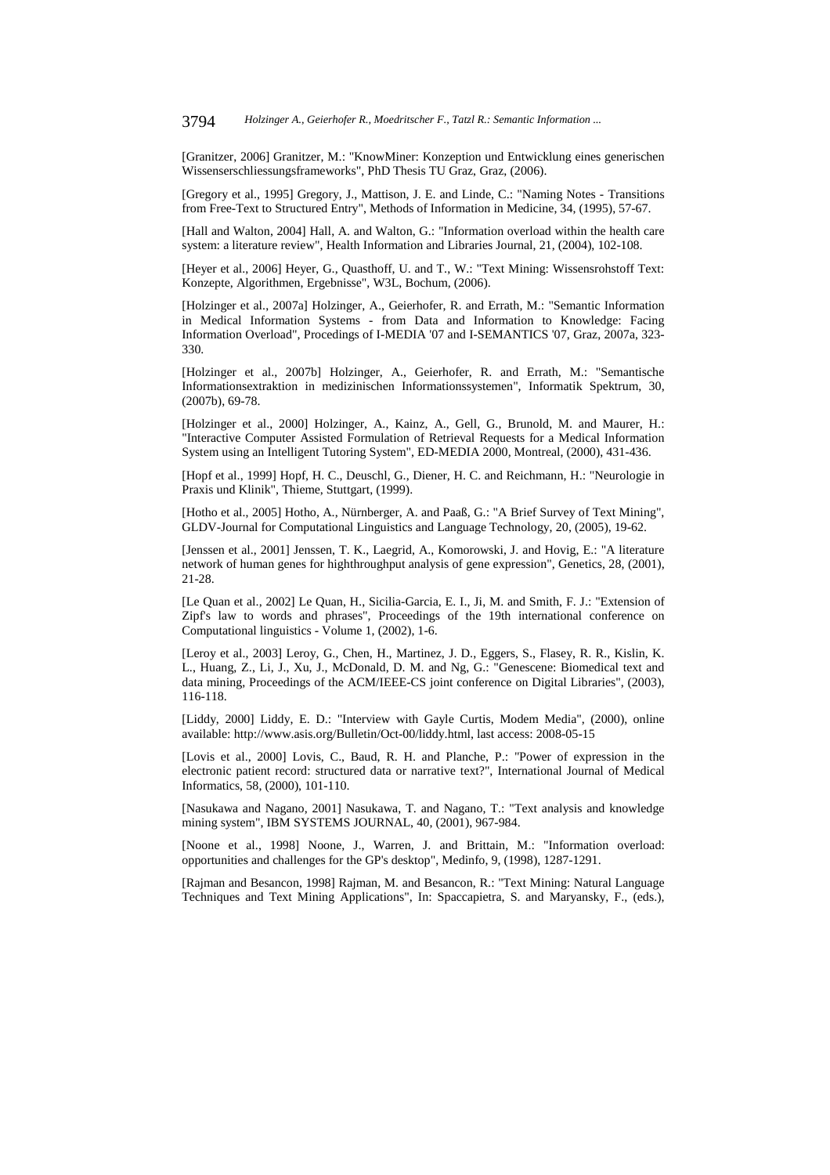[Granitzer, 2006] Granitzer, M.: "KnowMiner: Konzeption und Entwicklung eines generischen Wissenserschliessungsframeworks", PhD Thesis TU Graz, Graz, (2006).

[Gregory et al., 1995] Gregory, J., Mattison, J. E. and Linde, C.: "Naming Notes - Transitions from Free-Text to Structured Entry", Methods of Information in Medicine, 34, (1995), 57-67.

[Hall and Walton, 2004] Hall, A. and Walton, G.: "Information overload within the health care system: a literature review", Health Information and Libraries Journal, 21, (2004), 102-108.

[Heyer et al., 2006] Heyer, G., Quasthoff, U. and T., W.: "Text Mining: Wissensrohstoff Text: Konzepte, Algorithmen, Ergebnisse", W3L, Bochum, (2006).

[Holzinger et al., 2007a] Holzinger, A., Geierhofer, R. and Errath, M.: "Semantic Information in Medical Information Systems - from Data and Information to Knowledge: Facing Information Overload", Procedings of I-MEDIA '07 and I-SEMANTICS '07, Graz, 2007a, 323- 330.

[Holzinger et al., 2007b] Holzinger, A., Geierhofer, R. and Errath, M.: "Semantische Informationsextraktion in medizinischen Informationssystemen", Informatik Spektrum, 30, (2007b), 69-78.

[Holzinger et al., 2000] Holzinger, A., Kainz, A., Gell, G., Brunold, M. and Maurer, H.: "Interactive Computer Assisted Formulation of Retrieval Requests for a Medical Information System using an Intelligent Tutoring System", ED-MEDIA 2000, Montreal, (2000), 431-436.

[Hopf et al., 1999] Hopf, H. C., Deuschl, G., Diener, H. C. and Reichmann, H.: "Neurologie in Praxis und Klinik", Thieme, Stuttgart, (1999).

[Hotho et al., 2005] Hotho, A., Nürnberger, A. and Paaß, G.: "A Brief Survey of Text Mining", GLDV-Journal for Computational Linguistics and Language Technology, 20, (2005), 19-62.

[Jenssen et al., 2001] Jenssen, T. K., Laegrid, A., Komorowski, J. and Hovig, E.: "A literature network of human genes for highthroughput analysis of gene expression", Genetics, 28, (2001), 21-28.

[Le Quan et al., 2002] Le Quan, H., Sicilia-Garcia, E. I., Ji, M. and Smith, F. J.: "Extension of Zipf's law to words and phrases", Proceedings of the 19th international conference on Computational linguistics - Volume 1, (2002), 1-6.

[Leroy et al., 2003] Leroy, G., Chen, H., Martinez, J. D., Eggers, S., Flasey, R. R., Kislin, K. L., Huang, Z., Li, J., Xu, J., McDonald, D. M. and Ng, G.: "Genescene: Biomedical text and data mining, Proceedings of the ACM/IEEE-CS joint conference on Digital Libraries", (2003), 116-118.

[Liddy, 2000] Liddy, E. D.: "Interview with Gayle Curtis, Modem Media", (2000), online available: http://www.asis.org/Bulletin/Oct-00/liddy.html, last access: 2008-05-15

[Lovis et al., 2000] Lovis, C., Baud, R. H. and Planche, P.: "Power of expression in the electronic patient record: structured data or narrative text?", International Journal of Medical Informatics, 58, (2000), 101-110.

[Nasukawa and Nagano, 2001] Nasukawa, T. and Nagano, T.: "Text analysis and knowledge mining system", IBM SYSTEMS JOURNAL, 40, (2001), 967-984.

[Noone et al., 1998] Noone, J., Warren, J. and Brittain, M.: "Information overload: opportunities and challenges for the GP's desktop", Medinfo, 9, (1998), 1287-1291.

[Rajman and Besancon, 1998] Rajman, M. and Besancon, R.: "Text Mining: Natural Language Techniques and Text Mining Applications", In: Spaccapietra, S. and Maryansky, F., (eds.),